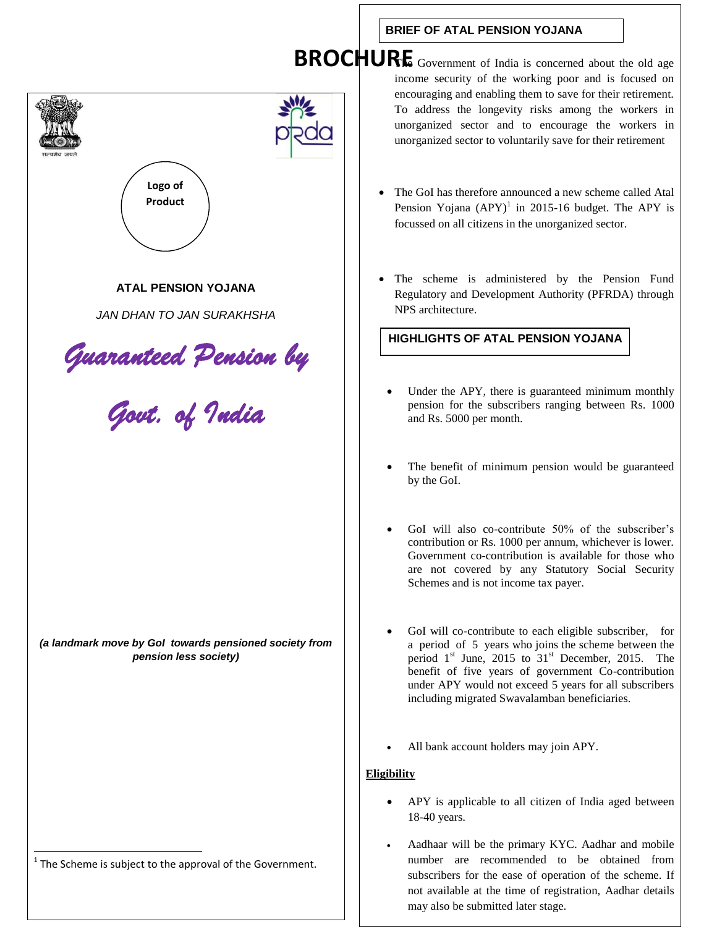# **ATAL PENSION YOJANA** *JAN DHAN TO JAN SURAKHSHA Guaranteed Pension by Govt. of India*  by the GoI. **Logo of Product**

*(a landmark move by GoI towards pensioned society from pension less society)*

The Scheme is subject to the approval of the Government.

**BRIEF OF ATAL PENSION YOJANA**

**BROCHURE** Government of India is concerned about the old age income security of the working poor and is focused on encouraging and enabling them to save for their retirement. To address the longevity risks among the workers in unorganized sector and to encourage the workers in unorganized sector to voluntarily save for their retirement

- The GoI has therefore announced a new scheme called Atal Pension Yojana  $(APY)^1$  in 2015-16 budget. The APY is focussed on all citizens in the unorganized sector.
- The scheme is administered by the Pension Fund Regulatory and Development Authority (PFRDA) through NPS architecture.

## **HIGHLIGHTS OF ATAL PENSION YOJANA**

- Under the APY, there is guaranteed minimum monthly pension for the subscribers ranging between Rs. 1000 and Rs. 5000 per month.
- The benefit of minimum pension would be guaranteed
- GoI will also co-contribute 50% of the subscriber's contribution or Rs. 1000 per annum, whichever is lower. Government co-contribution is available for those who are not covered by any Statutory Social Security Schemes and is not income tax payer.
- GoI will co-contribute to each eligible subscriber, for a period of 5 years who joins the scheme between the period  $1<sup>st</sup>$  June, 2015 to  $31<sup>st</sup>$  December, 2015. The benefit of five years of government Co-contribution under APY would not exceed 5 years for all subscribers including migrated Swavalamban beneficiaries.
- All bank account holders may join APY.

### **Eligibility**

- APY is applicable to all citizen of India aged between 18-40 years.
- Aadhaar will be the primary KYC. Aadhar and mobile number are recommended to be obtained from subscribers for the ease of operation of the scheme. If not available at the time of registration, Aadhar details may also be submitted later stage.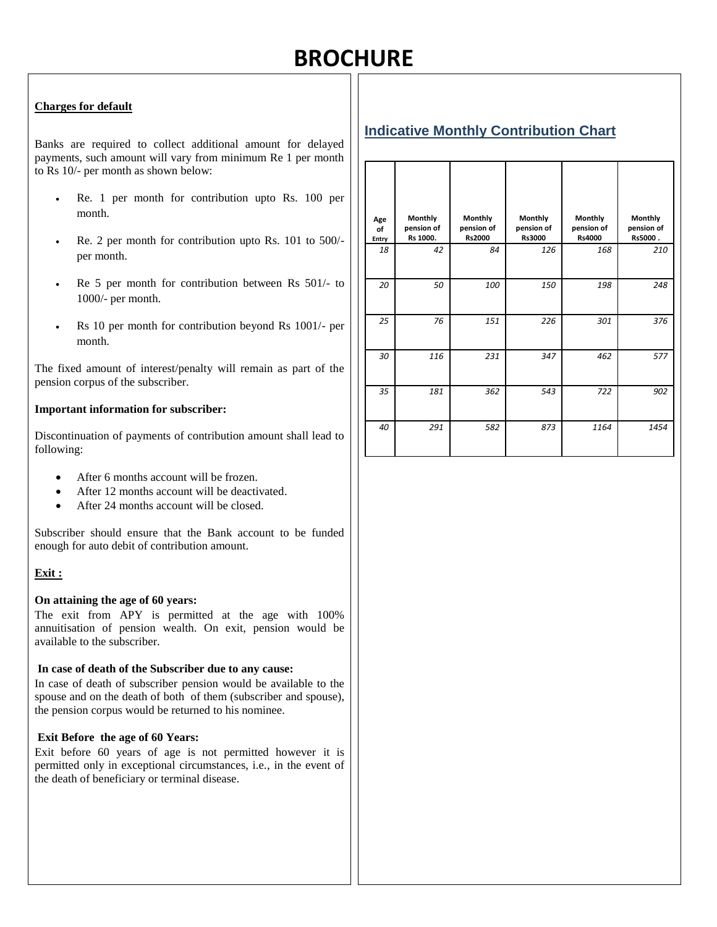# **BROCHURE**

#### **Charges for default**

Banks are required to collect additional amount for delayed payments, such amount will vary from minimum Re 1 per month to Rs 10/- per month as shown below:

- Re. 1 per month for contribution upto Rs. 100 per month.
- Re. 2 per month for contribution upto Rs. 101 to 500/ per month.
- Re 5 per month for contribution between Rs 501/- to 1000/- per month.
- Rs 10 per month for contribution beyond Rs 1001/- per month.

The fixed amount of interest/penalty will remain as part of the pension corpus of the subscriber.

#### **Important information for subscriber:**

Discontinuation of payments of contribution amount shall lead to following:

- After 6 months account will be frozen.
- After 12 months account will be deactivated.
- After 24 months account will be closed.

Subscriber should ensure that the Bank account to be funded enough for auto debit of contribution amount.

#### **Exit :**

#### **On attaining the age of 60 years:**

The exit from APY is permitted at the age with 100% annuitisation of pension wealth. On exit, pension would be available to the subscriber.

#### **In case of death of the Subscriber due to any cause:**

In case of death of subscriber pension would be available to the spouse and on the death of both of them (subscriber and spouse), the pension corpus would be returned to his nominee.

#### **Exit Before the age of 60 Years:**

Exit before 60 years of age is not permitted however it is permitted only in exceptional circumstances, i.e., in the event of the death of beneficiary or terminal disease.

|--|

| Age<br>of<br>Entry | Monthly<br>pension of<br>Rs 1000. | Monthly<br>pension of<br>Rs2000 | Monthly<br>pension of<br>Rs3000 | Monthly<br>pension of<br>Rs4000 | <b>Monthly</b><br>pension of<br>Rs5000. |
|--------------------|-----------------------------------|---------------------------------|---------------------------------|---------------------------------|-----------------------------------------|
| 18                 | 42                                | 84                              | 126                             | 168                             | 210                                     |
| 20                 | 50                                | 100                             | 150                             | 198                             | 248                                     |
| 25                 | 76                                | 151                             | 226                             | 301                             | 376                                     |
| 30                 | 116                               | 231                             | 347                             | 462                             | 577                                     |
| 35                 | 181                               | 362                             | 543                             | 722                             | 902                                     |
| 40                 | 291                               | 582                             | 873                             | 1164                            | 1454                                    |